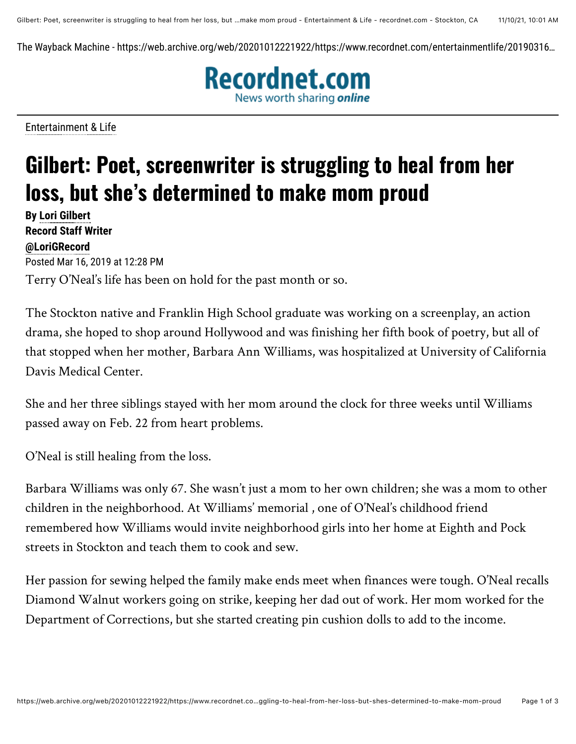The Wayback Machine - https://web.archive.org/web/20201012221922/https://www.recordnet.com/entertainmentlife/20190316…



[Entertainment & Life](https://web.archive.org/web/20201012221922mp_/https://www.recordnet.com/search?text=Entertainment%20%26%20Life)

## **Gilbert: Poet, screenwriter is struggling to heal from her loss, but she's determined to make mom proud**

**By [Lori Gilbert](mailto:lgilbert@recordnet.com) Record Staff Writer [@LoriGRecord](https://web.archive.org/web/20201012221922/http://www.twitter.com/LoriGRecord)** Posted Mar 16, 2019 at 12:28 PM Terry O'Neal's life has been on hold for the past month or so.

The Stockton native and Franklin High School graduate was working on a screenplay, an action drama, she hoped to shop around Hollywood and was finishing her fifth book of poetry, but all of that stopped when her mother, Barbara Ann Williams, was hospitalized at University of California Davis Medical Center.

She and her three siblings stayed with her mom around the clock for three weeks until Williams passed away on Feb. 22 from heart problems.

O'Neal is still healing from the loss.

Barbara Williams was only 67. She wasn't just a mom to her own children; she was a mom to other children in the neighborhood. At Williams' memorial , one of O'Neal's childhood friend remembered how Williams would invite neighborhood girls into her home at Eighth and Pock streets in Stockton and teach them to cook and sew.

Her passion for sewing helped the family make ends meet when finances were tough. O'Neal recalls Diamond Walnut workers going on strike, keeping her dad out of work. Her mom worked for the Department of Corrections, but she started creating pin cushion dolls to add to the income.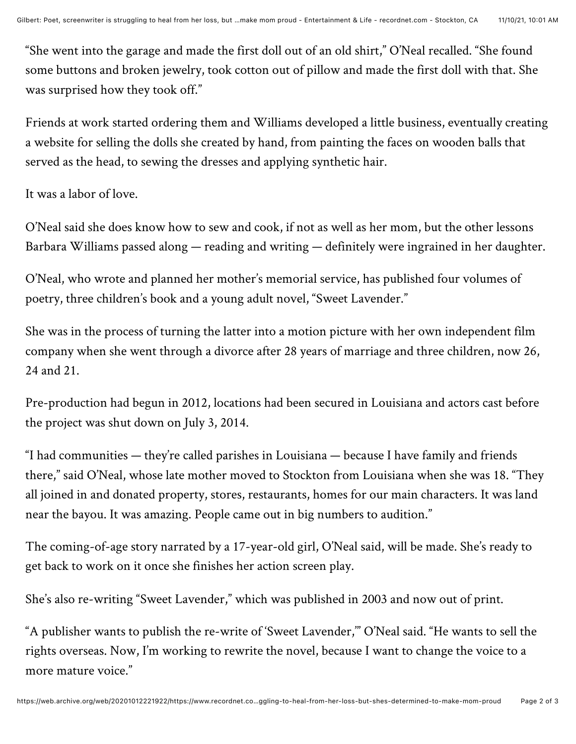"She went into the garage and made the first doll out of an old shirt," O'Neal recalled. "She found some buttons and broken jewelry, took cotton out of pillow and made the first doll with that. She was surprised how they took off."

Friends at work started ordering them and Williams developed a little business, eventually creating a website for selling the dolls she created by hand, from painting the faces on wooden balls that served as the head, to sewing the dresses and applying synthetic hair.

It was a labor of love.

O'Neal said she does know how to sew and cook, if not as well as her mom, but the other lessons Barbara Williams passed along — reading and writing — definitely were ingrained in her daughter.

O'Neal, who wrote and planned her mother's memorial service, has published four volumes of poetry, three children's book and a young adult novel, "Sweet Lavender."

She was in the process of turning the latter into a motion picture with her own independent film company when she went through a divorce after 28 years of marriage and three children, now 26, 24 and 21.

Pre-production had begun in 2012, locations had been secured in Louisiana and actors cast before the project was shut down on July 3, 2014.

"I had communities — they're called parishes in Louisiana — because I have family and friends there," said O'Neal, whose late mother moved to Stockton from Louisiana when she was 18. "They all joined in and donated property, stores, restaurants, homes for our main characters. It was land near the bayou. It was amazing. People came out in big numbers to audition."

The coming-of-age story narrated by a 17-year-old girl, O'Neal said, will be made. She's ready to get back to work on it once she finishes her action screen play.

She's also re-writing "Sweet Lavender," which was published in 2003 and now out of print.

"A publisher wants to publish the re-write of 'Sweet Lavender,'" O'Neal said. "He wants to sell the rights overseas. Now, I'm working to rewrite the novel, because I want to change the voice to a more mature voice."